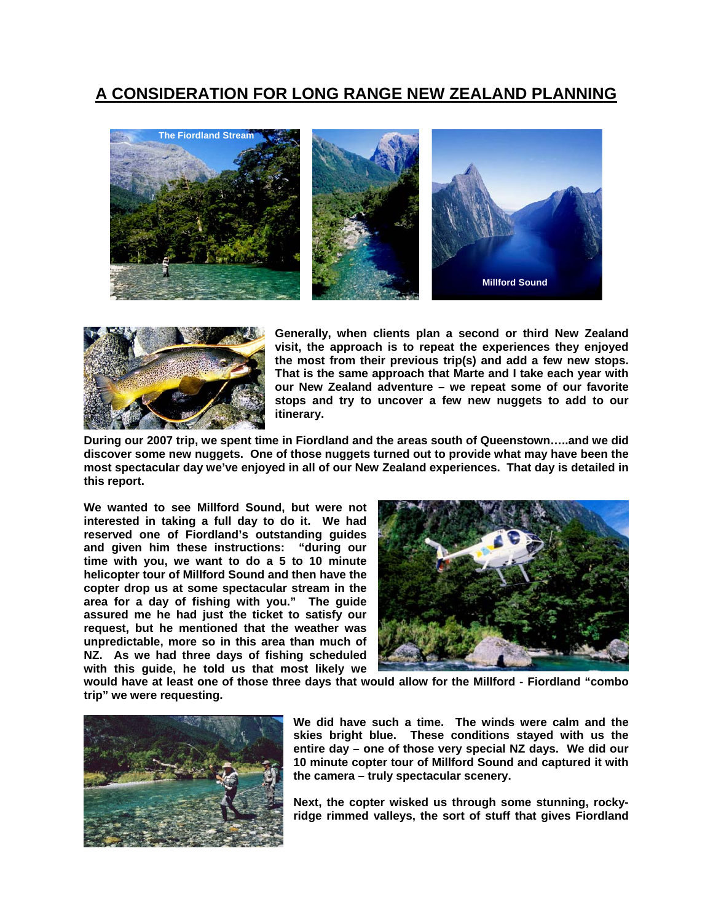## **A CONSIDERATION FOR LONG RANGE NEW ZEALAND PLANNING**





**Generally, when clients plan a second or third New Zealand visit, the approach is to repeat the experiences they enjoyed the most from their previous trip(s) and add a few new stops. That is the same approach that Marte and I take each year with our New Zealand adventure – we repeat some of our favorite stops and try to uncover a few new nuggets to add to our itinerary.** 

**During our 2007 trip, we spent time in Fiordland and the areas south of Queenstown…..and we did discover some new nuggets. One of those nuggets turned out to provide what may have been the most spectacular day we've enjoyed in all of our New Zealand experiences. That day is detailed in this report.** 

**We wanted to see Millford Sound, but were not interested in taking a full day to do it. We had reserved one of Fiordland's outstanding guides and given him these instructions: "during our time with you, we want to do a 5 to 10 minute helicopter tour of Millford Sound and then have the copter drop us at some spectacular stream in the area for a day of fishing with you." The guide assured me he had just the ticket to satisfy our request, but he mentioned that the weather was unpredictable, more so in this area than much of NZ. As we had three days of fishing scheduled with this guide, he told us that most likely we** 



**would have at least one of those three days that would allow for the Millford - Fiordland "combo trip" we were requesting.** 



**We did have such a time. The winds were calm and the skies bright blue. These conditions stayed with us the entire day – one of those very special NZ days. We did our 10 minute copter tour of Millford Sound and captured it with the camera – truly spectacular scenery.** 

**Next, the copter wisked us through some stunning, rockyridge rimmed valleys, the sort of stuff that gives Fiordland**